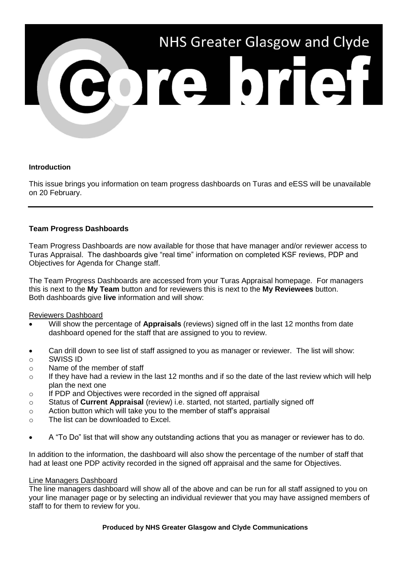

# **Introduction**

This issue brings you information on team progress dashboards on Turas and eESS will be unavailable on 20 February.

# **Team Progress Dashboards**

Team Progress Dashboards are now available for those that have manager and/or reviewer access to Turas Appraisal. The dashboards give "real time" information on completed KSF reviews, PDP and Objectives for Agenda for Change staff.

The Team Progress Dashboards are accessed from your Turas Appraisal homepage. For managers this is next to the **My Team** button and for reviewers this is next to the **My Reviewees** button. Both dashboards give **live** information and will show:

Reviewers Dashboard

- Will show the percentage of **Appraisals** (reviews) signed off in the last 12 months from date dashboard opened for the staff that are assigned to you to review.
- Can drill down to see list of staff assigned to you as manager or reviewer. The list will show:
- o SWISS ID
- o Name of the member of staff
- o If they have had a review in the last 12 months and if so the date of the last review which will help plan the next one
- o If PDP and Objectives were recorded in the signed off appraisal
- o Status of **Current Appraisal** (review) i.e. started, not started, partially signed off
- o Action button which will take you to the member of staff's appraisal
- o The list can be downloaded to Excel.
- A "To Do" list that will show any outstanding actions that you as manager or reviewer has to do.

In addition to the information, the dashboard will also show the percentage of the number of staff that had at least one PDP activity recorded in the signed off appraisal and the same for Objectives.

## Line Managers Dashboard

The line managers dashboard will show all of the above and can be run for all staff assigned to you on your line manager page or by selecting an individual reviewer that you may have assigned members of staff to for them to review for you.

#### **Produced by NHS Greater Glasgow and Clyde Communications**